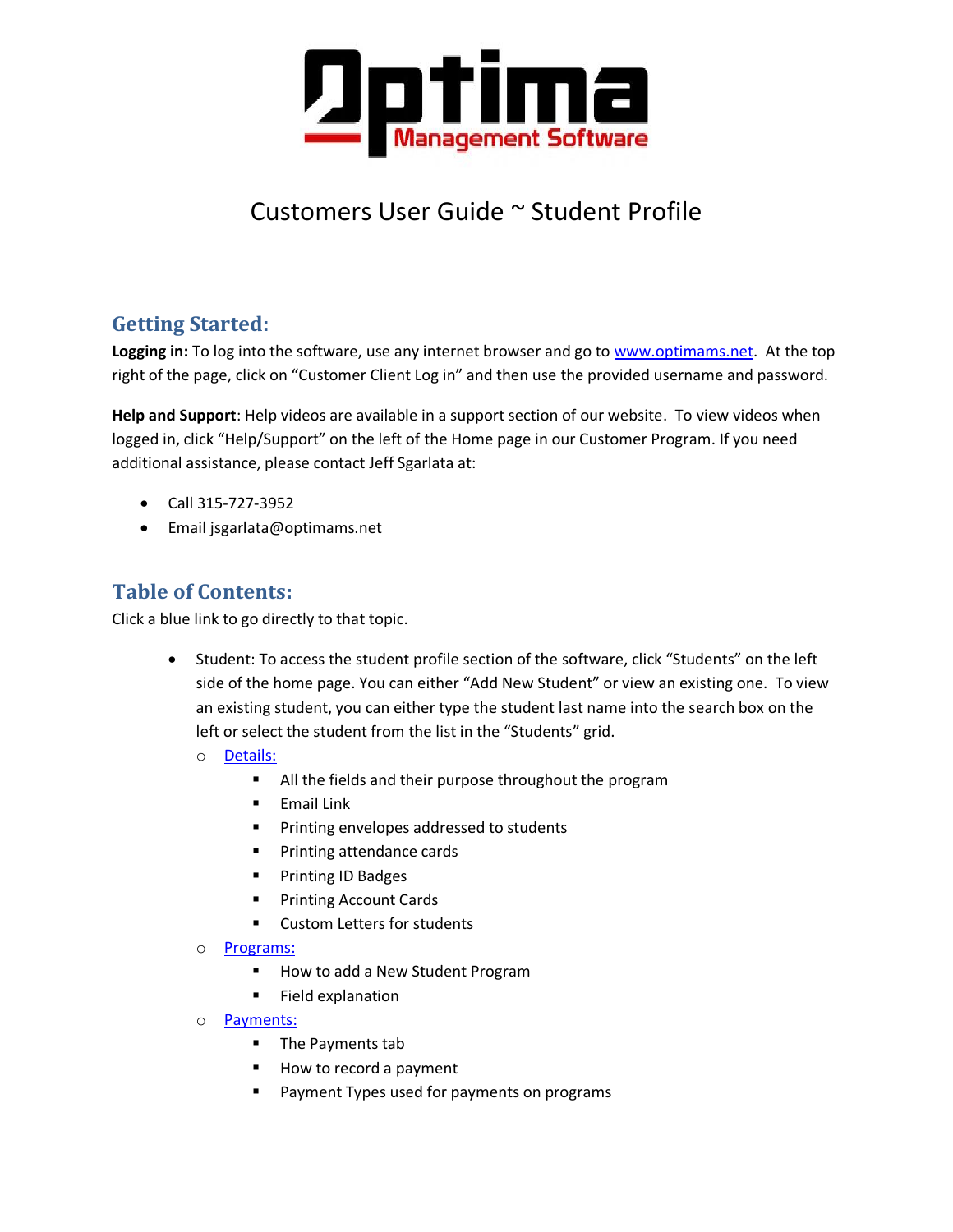

# Customers User Guide ~ Student Profile

## **Getting Started:**

**Logging in:** To log into the software, use any internet browser and go to [www.optimams.net.](http://www.optimams.net/) At the top right of the page, click on "Customer Client Log in" and then use the provided username and password.

**Help and Support**: Help videos are available in a support section of our website. To view videos when logged in, click "Help/Support" on the left of the Home page in our Customer Program. If you need additional assistance, please contact Jeff Sgarlata at:

- Call 315-727-3952
- Email jsgarlata@optimams.net

## **Table of Contents:**

Click a blue link to go directly to that topic.

- Student: To access the student profile section of the software, click "Students" on the left side of the home page. You can either "Add New Student" or view an existing one. To view an existing student, you can either type the student last name into the search box on the left or select the student from the list in the "Students" grid.
	- o [Details:](#page-1-0)
		- All the fields and their purpose throughout the program
		- **Email Link**
		- **Printing envelopes addressed to students**
		- **Printing attendance cards**
		- Printing ID Badges
		- **Printing Account Cards**
		- Custom Letters for students
	- o [Programs:](#page-4-0)
		- **How to add a New Student Program**
		- **Field explanation**
	- o [Payments:](#page-5-0)
		- **The Payments tab**
		- How to record a payment
		- Payment Types used for payments on programs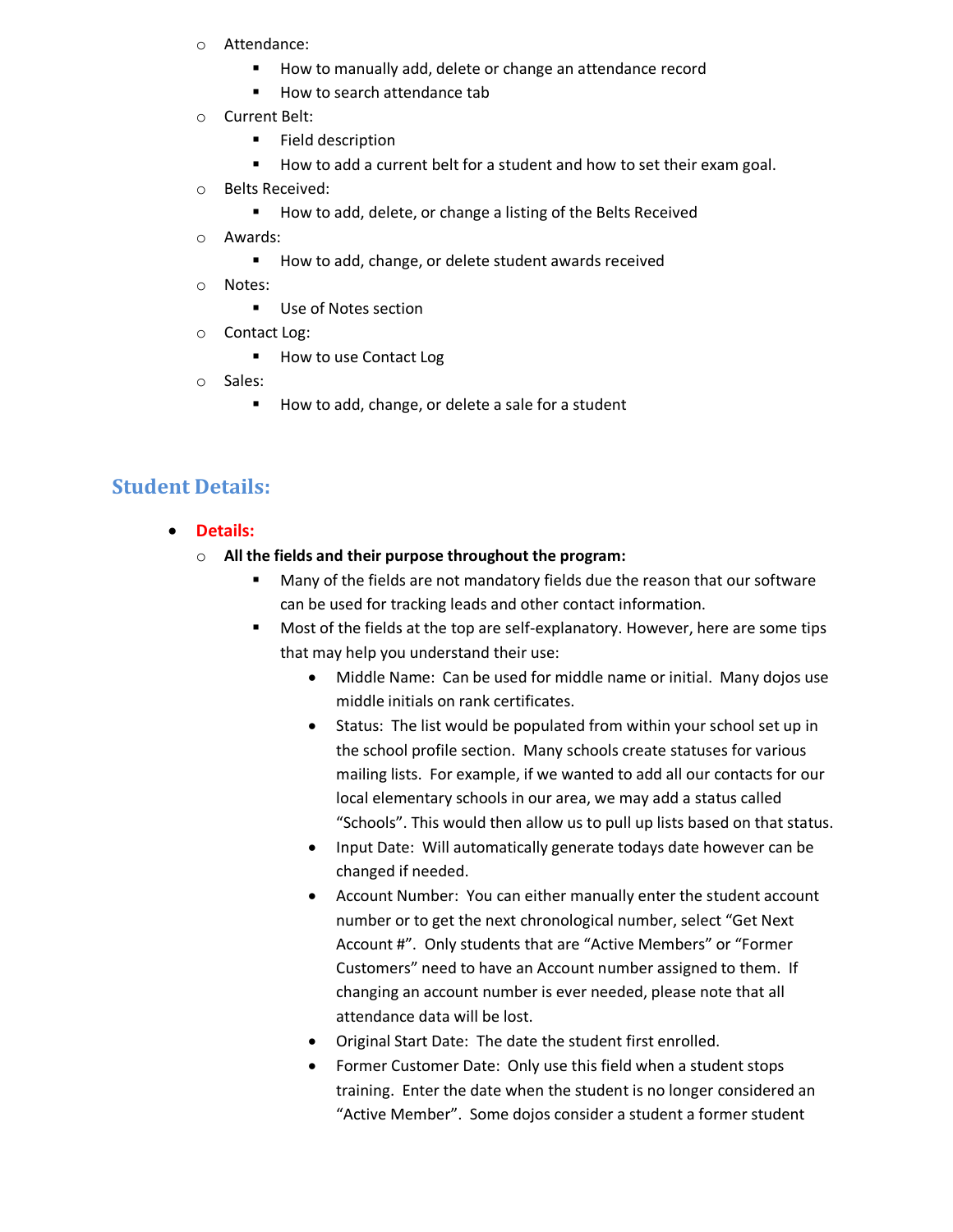- o Attendance:
	- **How to manually add, delete or change an attendance record**
	- How to search attendance tab
- o Current Belt:
	- **Field description**
	- How to add a current belt for a student and how to set their exam goal.
- o Belts Received:
	- How to add, delete, or change a listing of the Belts Received
- o Awards:
	- How to add, change, or delete student awards received
- o Notes:
	- **Use of Notes section**
- o Contact Log:
	- How to use Contact Log
- o Sales:
	- How to add, change, or delete a sale for a student

### <span id="page-1-0"></span>**Student Details:**

- **Details:**
	- o **All the fields and their purpose throughout the program:**
		- Many of the fields are not mandatory fields due the reason that our software can be used for tracking leads and other contact information.
		- Most of the fields at the top are self-explanatory. However, here are some tips that may help you understand their use:
			- Middle Name: Can be used for middle name or initial. Many dojos use middle initials on rank certificates.
			- Status: The list would be populated from within your school set up in the school profile section. Many schools create statuses for various mailing lists. For example, if we wanted to add all our contacts for our local elementary schools in our area, we may add a status called "Schools". This would then allow us to pull up lists based on that status.
			- Input Date: Will automatically generate todays date however can be changed if needed.
			- Account Number: You can either manually enter the student account number or to get the next chronological number, select "Get Next Account #". Only students that are "Active Members" or "Former Customers" need to have an Account number assigned to them. If changing an account number is ever needed, please note that all attendance data will be lost.
			- Original Start Date: The date the student first enrolled.
			- Former Customer Date: Only use this field when a student stops training. Enter the date when the student is no longer considered an "Active Member". Some dojos consider a student a former student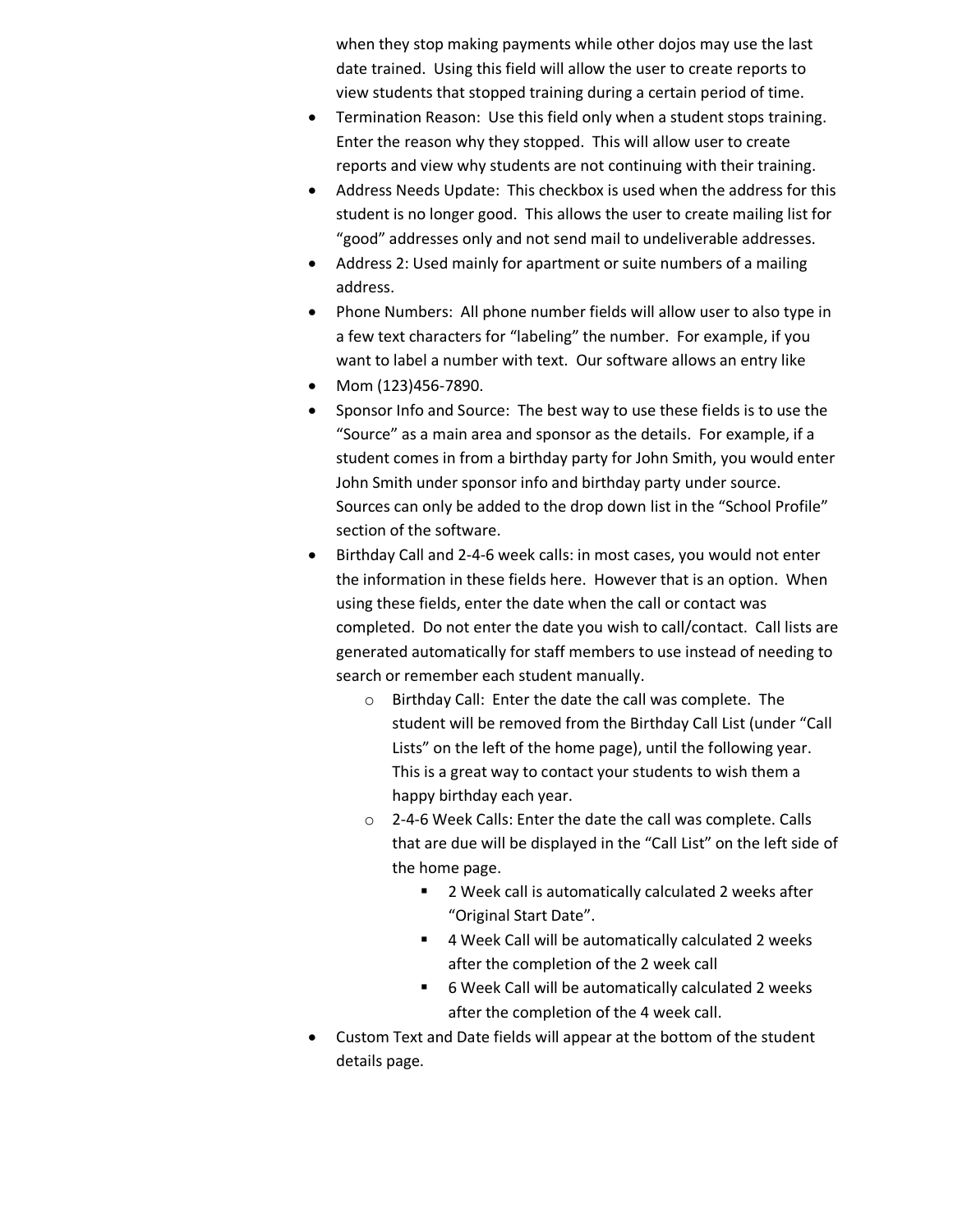when they stop making payments while other dojos may use the last date trained. Using this field will allow the user to create reports to view students that stopped training during a certain period of time.

- Termination Reason: Use this field only when a student stops training. Enter the reason why they stopped. This will allow user to create reports and view why students are not continuing with their training.
- Address Needs Update: This checkbox is used when the address for this student is no longer good. This allows the user to create mailing list for "good" addresses only and not send mail to undeliverable addresses.
- Address 2: Used mainly for apartment or suite numbers of a mailing address.
- Phone Numbers: All phone number fields will allow user to also type in a few text characters for "labeling" the number. For example, if you want to label a number with text. Our software allows an entry like
- Mom (123)456-7890.
- Sponsor Info and Source: The best way to use these fields is to use the "Source" as a main area and sponsor as the details. For example, if a student comes in from a birthday party for John Smith, you would enter John Smith under sponsor info and birthday party under source. Sources can only be added to the drop down list in the "School Profile" section of the software.
- Birthday Call and 2-4-6 week calls: in most cases, you would not enter the information in these fields here. However that is an option. When using these fields, enter the date when the call or contact was completed. Do not enter the date you wish to call/contact. Call lists are generated automatically for staff members to use instead of needing to search or remember each student manually.
	- o Birthday Call: Enter the date the call was complete. The student will be removed from the Birthday Call List (under "Call Lists" on the left of the home page), until the following year. This is a great way to contact your students to wish them a happy birthday each year.
	- o 2-4-6 Week Calls: Enter the date the call was complete. Calls that are due will be displayed in the "Call List" on the left side of the home page.
		- 2 Week call is automatically calculated 2 weeks after "Original Start Date".
		- 4 Week Call will be automatically calculated 2 weeks after the completion of the 2 week call
		- 6 Week Call will be automatically calculated 2 weeks after the completion of the 4 week call.
- Custom Text and Date fields will appear at the bottom of the student details page.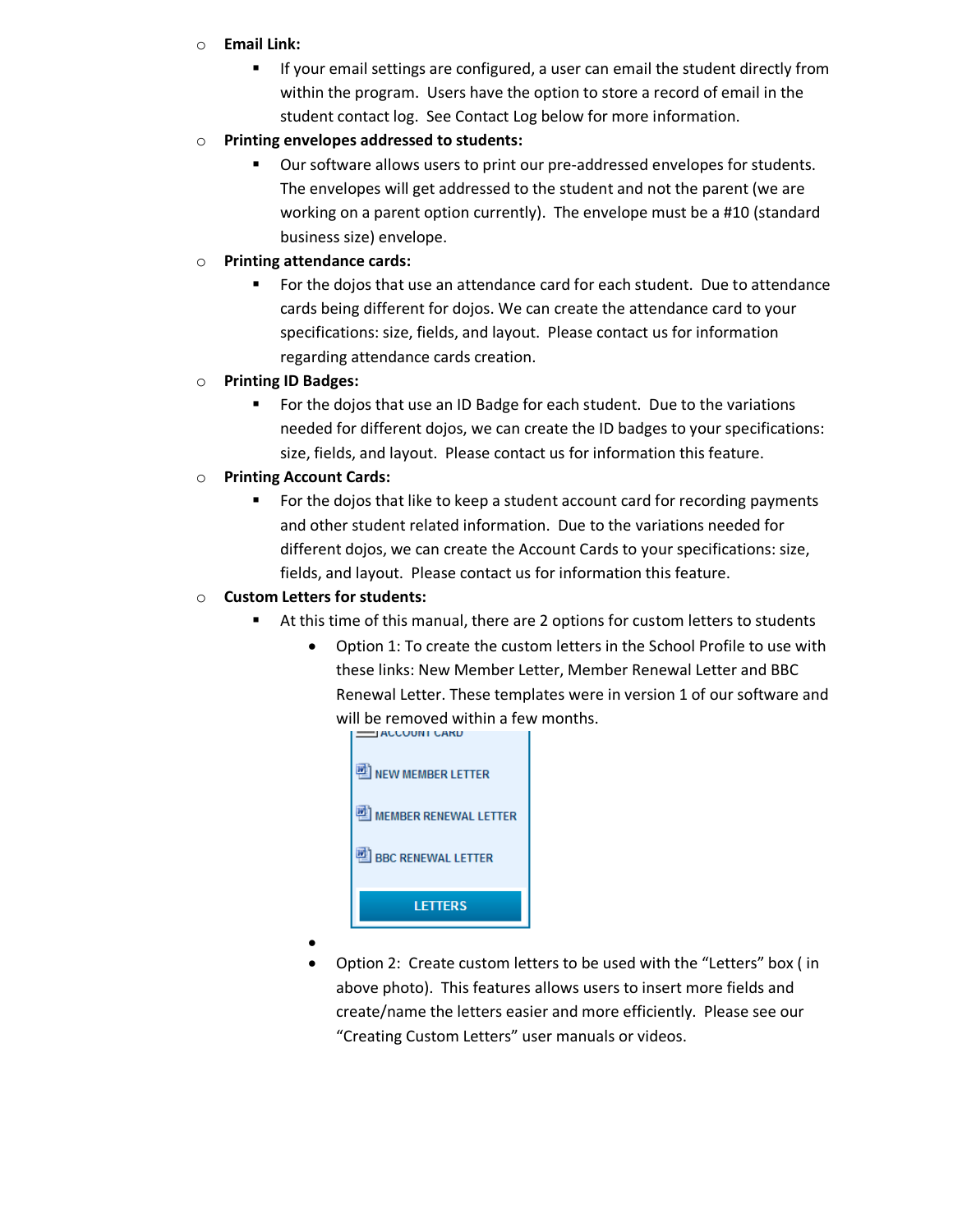#### o **Email Link:**

- **If your email settings are configured, a user can email the student directly from** within the program. Users have the option to store a record of email in the student contact log. See Contact Log below for more information.
- o **Printing envelopes addressed to students:**
	- Our software allows users to print our pre-addressed envelopes for students. The envelopes will get addressed to the student and not the parent (we are working on a parent option currently). The envelope must be a #10 (standard business size) envelope.
- o **Printing attendance cards:**
	- For the dojos that use an attendance card for each student. Due to attendance cards being different for dojos. We can create the attendance card to your specifications: size, fields, and layout. Please contact us for information regarding attendance cards creation.
- o **Printing ID Badges:**
	- For the dojos that use an ID Badge for each student. Due to the variations needed for different dojos, we can create the ID badges to your specifications: size, fields, and layout. Please contact us for information this feature.
- o **Printing Account Cards:**
	- For the dojos that like to keep a student account card for recording payments and other student related information. Due to the variations needed for different dojos, we can create the Account Cards to your specifications: size, fields, and layout. Please contact us for information this feature.

#### o **Custom Letters for students:**

- At this time of this manual, there are 2 options for custom letters to students
	- Option 1: To create the custom letters in the School Profile to use with these links: New Member Letter, Member Renewal Letter and BBC Renewal Letter. These templates were in version 1 of our software and will be removed within a few months.



- $\bullet$
- Option 2: Create custom letters to be used with the "Letters" box ( in above photo). This features allows users to insert more fields and create/name the letters easier and more efficiently. Please see our "Creating Custom Letters" user manuals or videos.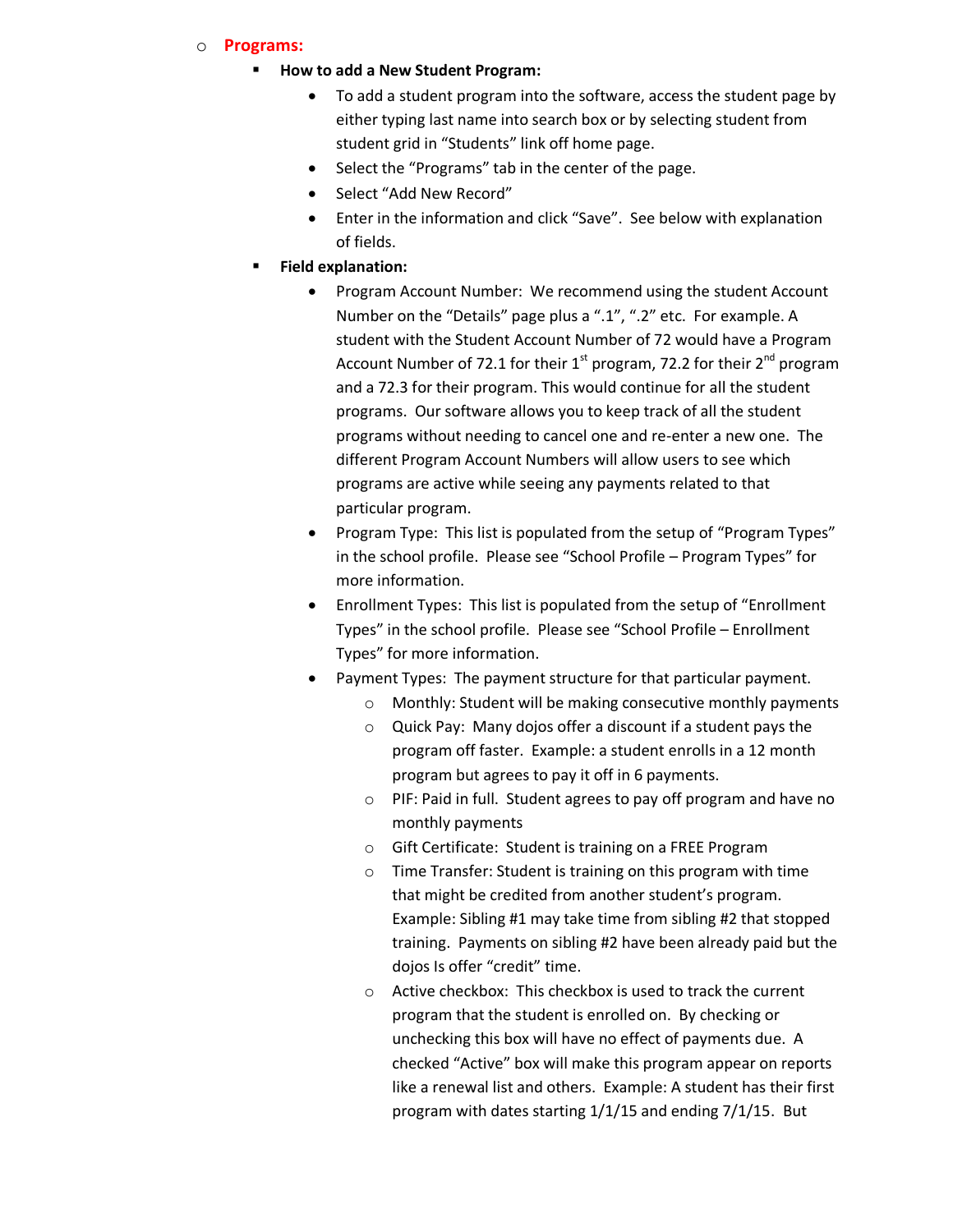#### <span id="page-4-0"></span>o **Programs:**

#### **How to add a New Student Program:**

- To add a student program into the software, access the student page by either typing last name into search box or by selecting student from student grid in "Students" link off home page.
- Select the "Programs" tab in the center of the page.
- Select "Add New Record"
- Enter in the information and click "Save". See below with explanation of fields.
- **Field explanation:**
	- Program Account Number: We recommend using the student Account Number on the "Details" page plus a ".1", ".2" etc. For example. A student with the Student Account Number of 72 would have a Program Account Number of 72.1 for their  $1<sup>st</sup>$  program, 72.2 for their  $2<sup>nd</sup>$  program and a 72.3 for their program. This would continue for all the student programs. Our software allows you to keep track of all the student programs without needing to cancel one and re-enter a new one. The different Program Account Numbers will allow users to see which programs are active while seeing any payments related to that particular program.
	- Program Type: This list is populated from the setup of "Program Types" in the school profile. Please see "School Profile – Program Types" for more information.
	- Enrollment Types: This list is populated from the setup of "Enrollment Types" in the school profile. Please see "School Profile – Enrollment Types" for more information.
	- Payment Types: The payment structure for that particular payment.
		- o Monthly: Student will be making consecutive monthly payments
		- o Quick Pay: Many dojos offer a discount if a student pays the program off faster. Example: a student enrolls in a 12 month program but agrees to pay it off in 6 payments.
		- o PIF: Paid in full. Student agrees to pay off program and have no monthly payments
		- o Gift Certificate: Student is training on a FREE Program
		- o Time Transfer: Student is training on this program with time that might be credited from another student's program. Example: Sibling #1 may take time from sibling #2 that stopped training. Payments on sibling #2 have been already paid but the dojos Is offer "credit" time.
		- o Active checkbox: This checkbox is used to track the current program that the student is enrolled on. By checking or unchecking this box will have no effect of payments due. A checked "Active" box will make this program appear on reports like a renewal list and others. Example: A student has their first program with dates starting 1/1/15 and ending 7/1/15. But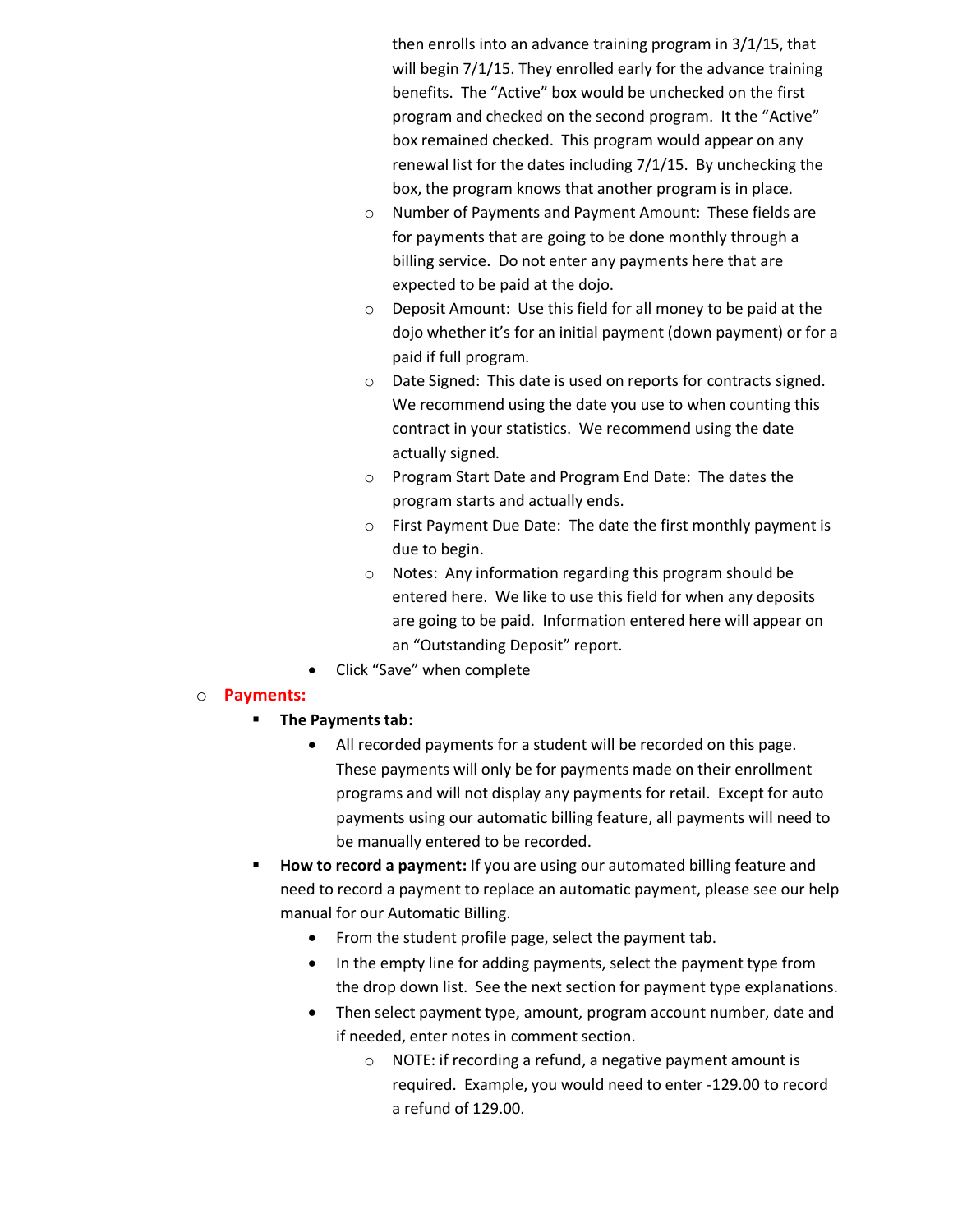then enrolls into an advance training program in 3/1/15, that will begin 7/1/15. They enrolled early for the advance training benefits. The "Active" box would be unchecked on the first program and checked on the second program. It the "Active" box remained checked. This program would appear on any renewal list for the dates including 7/1/15. By unchecking the box, the program knows that another program is in place.

- o Number of Payments and Payment Amount: These fields are for payments that are going to be done monthly through a billing service. Do not enter any payments here that are expected to be paid at the dojo.
- o Deposit Amount: Use this field for all money to be paid at the dojo whether it's for an initial payment (down payment) or for a paid if full program.
- o Date Signed: This date is used on reports for contracts signed. We recommend using the date you use to when counting this contract in your statistics. We recommend using the date actually signed.
- o Program Start Date and Program End Date: The dates the program starts and actually ends.
- o First Payment Due Date: The date the first monthly payment is due to begin.
- o Notes: Any information regarding this program should be entered here. We like to use this field for when any deposits are going to be paid. Information entered here will appear on an "Outstanding Deposit" report.
- Click "Save" when complete

### <span id="page-5-0"></span>o **Payments:**

- **The Payments tab:**
	- All recorded payments for a student will be recorded on this page. These payments will only be for payments made on their enrollment programs and will not display any payments for retail. Except for auto payments using our automatic billing feature, all payments will need to be manually entered to be recorded.
- **How to record a payment:** If you are using our automated billing feature and need to record a payment to replace an automatic payment, please see our help manual for our Automatic Billing.
	- From the student profile page, select the payment tab.
	- In the empty line for adding payments, select the payment type from the drop down list. See the next section for payment type explanations.
	- Then select payment type, amount, program account number, date and if needed, enter notes in comment section.
		- o NOTE: if recording a refund, a negative payment amount is required. Example, you would need to enter -129.00 to record a refund of 129.00.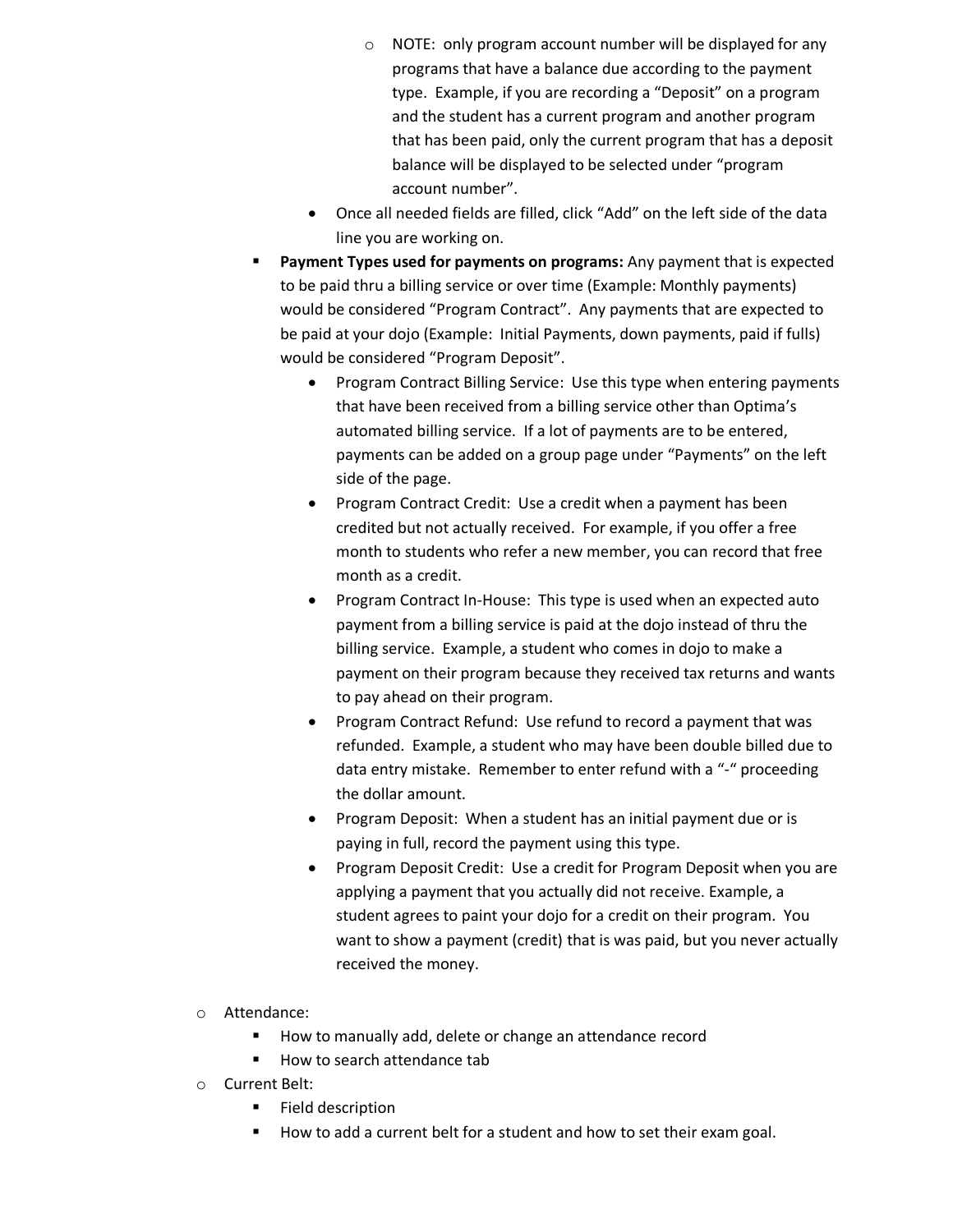- o NOTE: only program account number will be displayed for any programs that have a balance due according to the payment type. Example, if you are recording a "Deposit" on a program and the student has a current program and another program that has been paid, only the current program that has a deposit balance will be displayed to be selected under "program account number".
- Once all needed fields are filled, click "Add" on the left side of the data line you are working on.
- **Payment Types used for payments on programs:** Any payment that is expected to be paid thru a billing service or over time (Example: Monthly payments) would be considered "Program Contract". Any payments that are expected to be paid at your dojo (Example: Initial Payments, down payments, paid if fulls) would be considered "Program Deposit".
	- Program Contract Billing Service: Use this type when entering payments that have been received from a billing service other than Optima's automated billing service. If a lot of payments are to be entered, payments can be added on a group page under "Payments" on the left side of the page.
	- Program Contract Credit: Use a credit when a payment has been credited but not actually received. For example, if you offer a free month to students who refer a new member, you can record that free month as a credit.
	- Program Contract In-House: This type is used when an expected auto payment from a billing service is paid at the dojo instead of thru the billing service. Example, a student who comes in dojo to make a payment on their program because they received tax returns and wants to pay ahead on their program.
	- Program Contract Refund: Use refund to record a payment that was refunded. Example, a student who may have been double billed due to data entry mistake. Remember to enter refund with a "-" proceeding the dollar amount.
	- Program Deposit: When a student has an initial payment due or is paying in full, record the payment using this type.
	- Program Deposit Credit: Use a credit for Program Deposit when you are applying a payment that you actually did not receive. Example, a student agrees to paint your dojo for a credit on their program. You want to show a payment (credit) that is was paid, but you never actually received the money.
- o Attendance:
	- How to manually add, delete or change an attendance record
	- How to search attendance tab
- o Current Belt:
	- **Field description**
	- How to add a current belt for a student and how to set their exam goal.